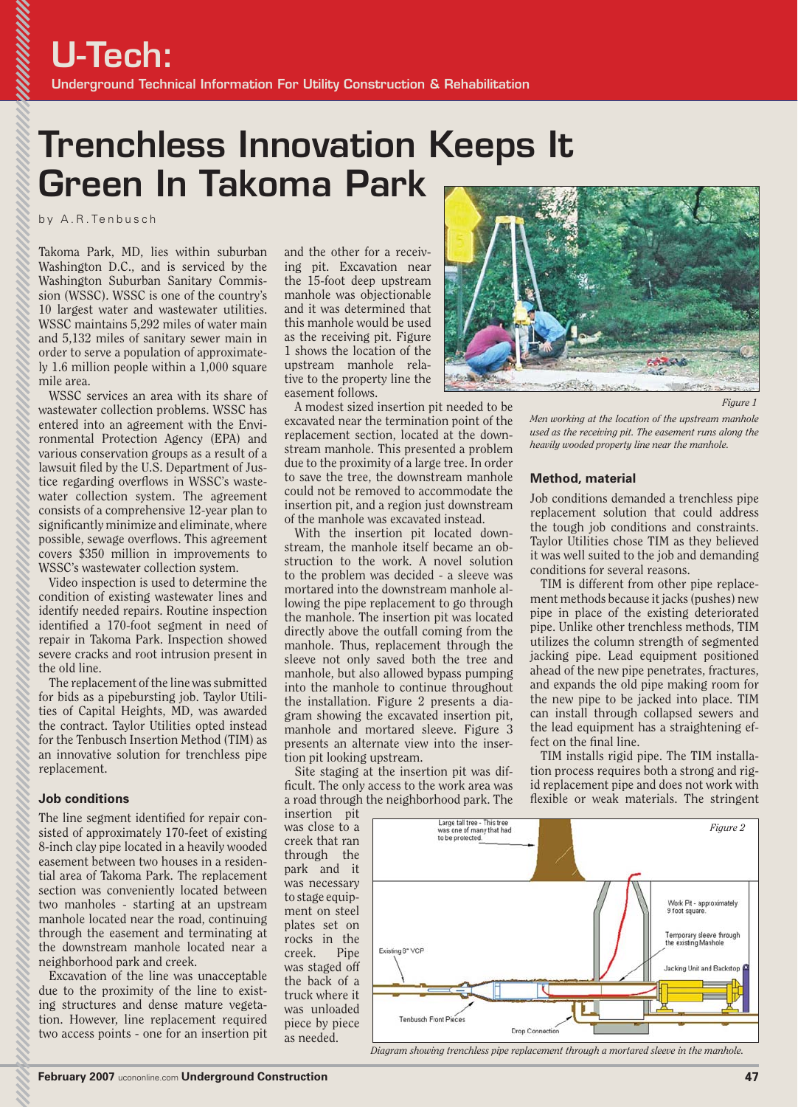# **Trenchless Innovation Keeps It Green In Takoma Park**

by A.R.Tenbusch

Takoma Park, MD, lies within suburban Washington D.C., and is serviced by the Washington Suburban Sanitary Commission (WSSC). WSSC is one of the country's 10 largest water and wastewater utilities. WSSC maintains 5,292 miles of water main and 5,132 miles of sanitary sewer main in order to serve a population of approximately 1.6 million people within a 1,000 square mile area.

WSSC services an area with its share of wastewater collection problems. WSSC has entered into an agreement with the Environmental Protection Agency (EPA) and various conservation groups as a result of a lawsuit filed by the U.S. Department of Justice regarding overflows in WSSC's wastewater collection system. The agreement consists of a comprehensive 12-year plan to significantly minimize and eliminate, where possible, sewage overflows. This agreement covers \$350 million in improvements to WSSC's wastewater collection system.

Video inspection is used to determine the condition of existing wastewater lines and identify needed repairs. Routine inspection identified a 170-foot segment in need of repair in Takoma Park. Inspection showed severe cracks and root intrusion present in the old line.

The replacement of the line was submitted for bids as a pipebursting job. Taylor Utilities of Capital Heights, MD, was awarded the contract. Taylor Utilities opted instead for the Tenbusch Insertion Method (TIM) as an innovative solution for trenchless pipe replacement.

## **Job conditions**

The line segment identified for repair consisted of approximately 170-feet of existing 8-inch clay pipe located in a heavily wooded easement between two houses in a residential area of Takoma Park. The replacement section was conveniently located between two manholes - starting at an upstream manhole located near the road, continuing through the easement and terminating at the downstream manhole located near a neighborhood park and creek.

Excavation of the line was unacceptable due to the proximity of the line to existing structures and dense mature vegetation. However, line replacement required two access points - one for an insertion pit and the other for a receiving pit. Excavation near the 15-foot deep upstream manhole was objectionable and it was determined that this manhole would be used as the receiving pit. Figure 1 shows the location of the upstream manhole relative to the property line the easement follows.

A modest sized insertion pit needed to be excavated near the termination point of the replacement section, located at the downstream manhole. This presented a problem due to the proximity of a large tree. In order to save the tree, the downstream manhole could not be removed to accommodate the insertion pit, and a region just downstream of the manhole was excavated instead.

With the insertion pit located downstream, the manhole itself became an obstruction to the work. A novel solution to the problem was decided - a sleeve was mortared into the downstream manhole allowing the pipe replacement to go through the manhole. The insertion pit was located directly above the outfall coming from the manhole. Thus, replacement through the sleeve not only saved both the tree and manhole, but also allowed bypass pumping into the manhole to continue throughout the installation. Figure 2 presents a diagram showing the excavated insertion pit, manhole and mortared sleeve. Figure 3 presents an alternate view into the insertion pit looking upstream.

Site staging at the insertion pit was difficult. The only access to the work area was a road through the neighborhood park. The

insertion pit was close to a creek that ran through the park and it was necessary to stage equipment on steel plates set on rocks in the creek. Pipe was staged off the back of a truck where it was unloaded piece by piece as needed.



*Figure 1*

*Men working at the location of the upstream manhole used as the receiving pit. The easement runs along the heavily wooded property line near the manhole.*

#### **Method, material**

Job conditions demanded a trenchless pipe replacement solution that could address the tough job conditions and constraints. Taylor Utilities chose TIM as they believed it was well suited to the job and demanding conditions for several reasons.

TIM is different from other pipe replacement methods because it jacks (pushes) new pipe in place of the existing deteriorated pipe. Unlike other trenchless methods, TIM utilizes the column strength of segmented jacking pipe. Lead equipment positioned ahead of the new pipe penetrates, fractures, and expands the old pipe making room for the new pipe to be jacked into place. TIM can install through collapsed sewers and the lead equipment has a straightening effect on the final line.

TIM installs rigid pipe. The TIM installation process requires both a strong and rigid replacement pipe and does not work with flexible or weak materials. The stringent